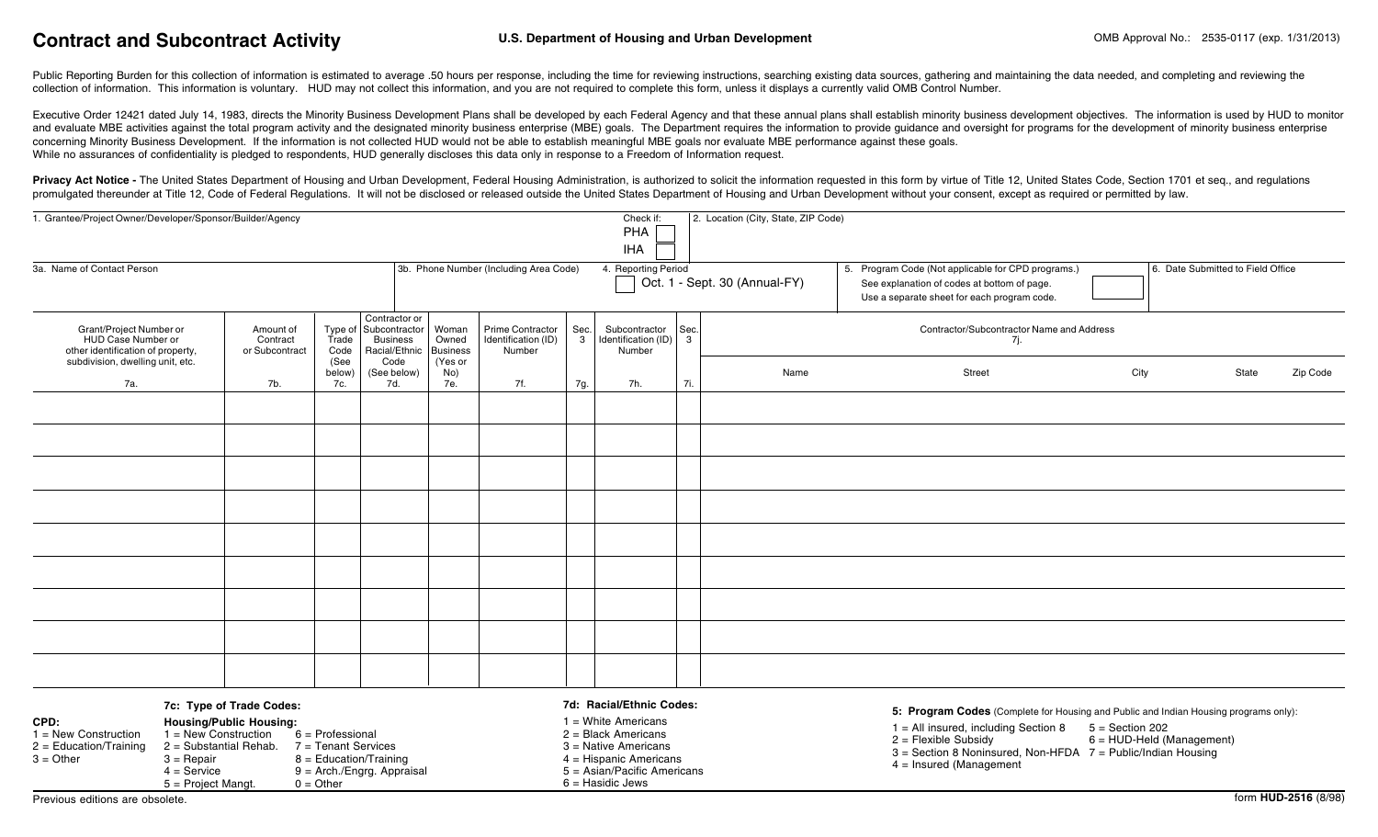# Contract and Subcontract Activity **Contract Contract Activity** U.S. Department of Housing and Urban Development

Public Reporting Burden for this collection of information is estimated to average .50 hours per response, including the time for reviewing instructions, searching existing data sources, gathering and maintaining the data collection of information. This information is voluntary. HUD may not collect this information, and you are not required to complete this form, unless it displays a currently valid OMB Control Number.

Executive Order 12421 dated July 14, 1983, directs the Minority Business Development Plans shall be developed by each Federal Agency and that these annual plans shall establish minority business development objectives. The and evaluate MBE activities against the total program activity and the designated minority business enterprise (MBE) goals. The Department requires the information to provide guidance and oversight for programs for the dev concerning Minority Business Development. If the information is not collected HUD would not be able to establish meaningful MBE goals nor evaluate MBE performance against these goals. While no assurances of confidentiality is pledged to respondents, HUD generally discloses this data only in response to a Freedom of Information request.

Privacy Act Notice - The United States Department of Housing and Urban Development, Federal Housing Administration, is authorized to solicit the information requested in this form by virtue of Title 12, United States Code, promulgated thereunder at Title 12, Code of Federal Regulations. It will not be disclosed or released outside the United States Department of Housing and Urban Development without your consent, except as required or permit

| 1. Grantee/Project Owner/Developer/Sponsor/Builder/Agency                          |                                         |                                                                              |                                                                            |                            |                                                   |                                                      |                                                                         |        | 2. Location (City, State, ZIP Code)                                                                                                              |       |                                   |  |  |
|------------------------------------------------------------------------------------|-----------------------------------------|------------------------------------------------------------------------------|----------------------------------------------------------------------------|----------------------------|---------------------------------------------------|------------------------------------------------------|-------------------------------------------------------------------------|--------|--------------------------------------------------------------------------------------------------------------------------------------------------|-------|-----------------------------------|--|--|
| 3a. Name of Contact Person                                                         |                                         | 3b. Phone Number (Including Area Code)                                       |                                                                            |                            |                                                   | 4. Reporting Period<br>Oct. 1 - Sept. 30 (Annual-FY) |                                                                         |        | 5. Program Code (Not applicable for CPD programs.)<br>See explanation of codes at bottom of page.<br>Use a separate sheet for each program code. |       | 6. Date Submitted to Field Office |  |  |
| Grant/Project Number or<br>HUD Case Number or<br>other identification of property, | Amount of<br>Contract<br>or Subcontract | Trade<br>Code                                                                | Contractor or<br>Type of Subcontractor<br><b>Business</b><br>Racial/Ethnic | Woman<br>Owned<br>Business | Prime Contractor<br>Identification (ID)<br>Number | Sec.<br>$\mathbf{3}$                                 | Subcontractor   Sec.<br>$\vert$ Identification (ID) $\vert$ 3<br>Number |        | Contractor/Subcontractor Name and Address<br>7j.                                                                                                 |       |                                   |  |  |
| subdivision, dwelling unit, etc.<br>7a.                                            | 7b.                                     | Code<br>(Yes or<br>(See<br>(See below)<br>below)<br>No)<br>7e.<br>7d.<br>7c. | 7f.                                                                        | 7g.                        | 7h.                                               | 7i.                                                  | Name                                                                    | Street | City                                                                                                                                             | State | Zip Code                          |  |  |
|                                                                                    |                                         |                                                                              |                                                                            |                            |                                                   |                                                      |                                                                         |        |                                                                                                                                                  |       |                                   |  |  |
|                                                                                    |                                         |                                                                              |                                                                            |                            |                                                   |                                                      |                                                                         |        |                                                                                                                                                  |       |                                   |  |  |
|                                                                                    |                                         |                                                                              |                                                                            |                            |                                                   |                                                      |                                                                         |        |                                                                                                                                                  |       |                                   |  |  |
|                                                                                    |                                         |                                                                              |                                                                            |                            |                                                   |                                                      |                                                                         |        |                                                                                                                                                  |       |                                   |  |  |
|                                                                                    |                                         |                                                                              |                                                                            |                            |                                                   |                                                      |                                                                         |        |                                                                                                                                                  |       |                                   |  |  |
|                                                                                    |                                         |                                                                              |                                                                            |                            |                                                   |                                                      |                                                                         |        |                                                                                                                                                  |       |                                   |  |  |
|                                                                                    |                                         |                                                                              |                                                                            |                            |                                                   |                                                      |                                                                         |        |                                                                                                                                                  |       |                                   |  |  |
|                                                                                    |                                         |                                                                              |                                                                            |                            |                                                   |                                                      |                                                                         |        |                                                                                                                                                  |       |                                   |  |  |
|                                                                                    |                                         |                                                                              |                                                                            |                            |                                                   |                                                      |                                                                         |        |                                                                                                                                                  |       |                                   |  |  |
|                                                                                    |                                         |                                                                              |                                                                            |                            |                                                   |                                                      |                                                                         |        |                                                                                                                                                  |       |                                   |  |  |

#### **7c: Type of Trade Codes:**

 $5 =$  Project Mangt.  $0 =$  Other

- 1 = New Construction  $1 =$  New Construction<br>2 = Education/Training 2 = Substantial Rehab
- **CPD: Housing/Public Housing:**<br>1 = New Construction 1 = New Construction 6 = Professional 2 = Education/Training 2 = Substantial Rehab.  $7 =$ Tenant Services<br>3 = Other 3 = Repair 8 = Education/Training  $3 = \text{Repair}$ <br>  $4 = \text{Service}$ <br>  $9 = \text{Arch/Enqra}$ . Appra  $9$  = Arch./Engrg. Appraisal

### 1 = White Americans

- 2 = Black Americans 3 = Native Americans 4 = Hispanic Americans
- 5 = Asian/Pacific Americans 6 = Hasidic Jews

**7d: Racial/Ethnic Codes:**

#### **5: Program Codes** (Complete for Housing and Public and Indian Housing programs only):

- $1 =$  All insured, including Section 8  $5 =$  Section 202
- $2 =$  Flexible Subsidy 6 = HUD-Held (Management)
- 3 = Section 8 Noninsured, Non-HFDA 7 = Public/Indian Housing
- 4 = Insured (Management